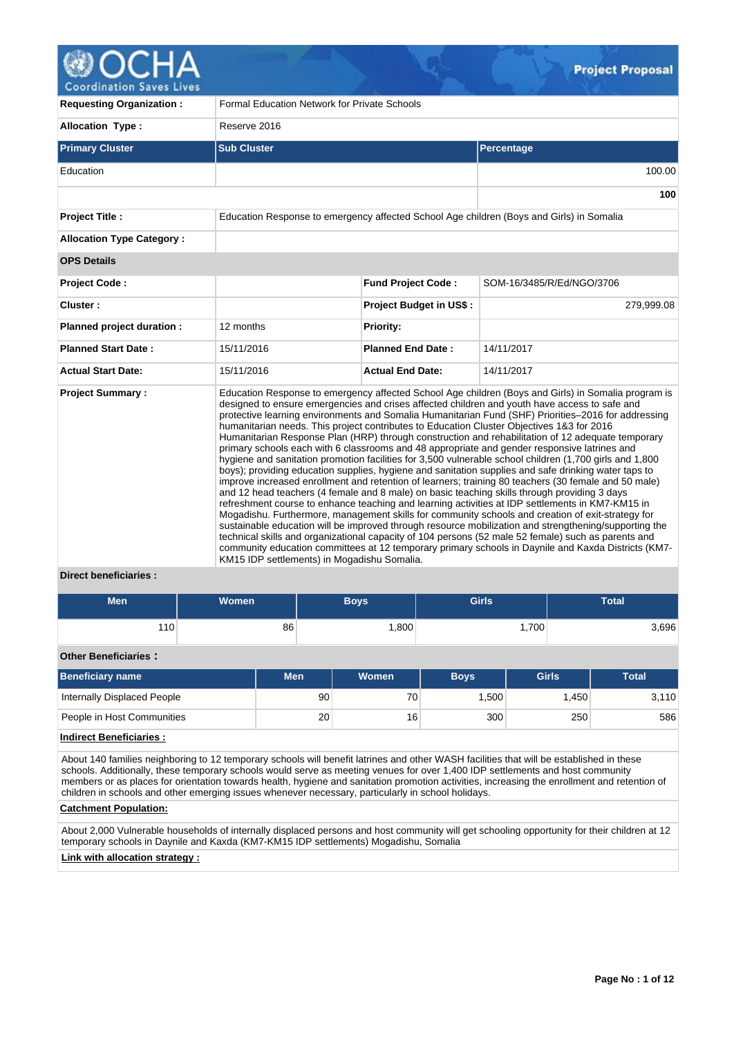| <b>Requesting Organization:</b>  | <b>Formal Education Network for Private Schools</b>                                                                                      |                                |                                                                                                                                                                                                                                                                                                                                                                                                                                                                                                                                                                                                                                                                                                                                                                                                                                                                                                                                                                                                                                                                                                                                                                                                                                                                                                                                                                                                                                                                             |  |  |  |
|----------------------------------|------------------------------------------------------------------------------------------------------------------------------------------|--------------------------------|-----------------------------------------------------------------------------------------------------------------------------------------------------------------------------------------------------------------------------------------------------------------------------------------------------------------------------------------------------------------------------------------------------------------------------------------------------------------------------------------------------------------------------------------------------------------------------------------------------------------------------------------------------------------------------------------------------------------------------------------------------------------------------------------------------------------------------------------------------------------------------------------------------------------------------------------------------------------------------------------------------------------------------------------------------------------------------------------------------------------------------------------------------------------------------------------------------------------------------------------------------------------------------------------------------------------------------------------------------------------------------------------------------------------------------------------------------------------------------|--|--|--|
| <b>Allocation Type:</b>          | Reserve 2016                                                                                                                             |                                |                                                                                                                                                                                                                                                                                                                                                                                                                                                                                                                                                                                                                                                                                                                                                                                                                                                                                                                                                                                                                                                                                                                                                                                                                                                                                                                                                                                                                                                                             |  |  |  |
| <b>Primary Cluster</b>           | <b>Sub Cluster</b>                                                                                                                       |                                | Percentage                                                                                                                                                                                                                                                                                                                                                                                                                                                                                                                                                                                                                                                                                                                                                                                                                                                                                                                                                                                                                                                                                                                                                                                                                                                                                                                                                                                                                                                                  |  |  |  |
| Education                        |                                                                                                                                          |                                | 100.00                                                                                                                                                                                                                                                                                                                                                                                                                                                                                                                                                                                                                                                                                                                                                                                                                                                                                                                                                                                                                                                                                                                                                                                                                                                                                                                                                                                                                                                                      |  |  |  |
|                                  |                                                                                                                                          |                                | 100                                                                                                                                                                                                                                                                                                                                                                                                                                                                                                                                                                                                                                                                                                                                                                                                                                                                                                                                                                                                                                                                                                                                                                                                                                                                                                                                                                                                                                                                         |  |  |  |
| <b>Project Title:</b>            |                                                                                                                                          |                                | Education Response to emergency affected School Age children (Boys and Girls) in Somalia                                                                                                                                                                                                                                                                                                                                                                                                                                                                                                                                                                                                                                                                                                                                                                                                                                                                                                                                                                                                                                                                                                                                                                                                                                                                                                                                                                                    |  |  |  |
| <b>Allocation Type Category:</b> |                                                                                                                                          |                                |                                                                                                                                                                                                                                                                                                                                                                                                                                                                                                                                                                                                                                                                                                                                                                                                                                                                                                                                                                                                                                                                                                                                                                                                                                                                                                                                                                                                                                                                             |  |  |  |
| <b>OPS Details</b>               |                                                                                                                                          |                                |                                                                                                                                                                                                                                                                                                                                                                                                                                                                                                                                                                                                                                                                                                                                                                                                                                                                                                                                                                                                                                                                                                                                                                                                                                                                                                                                                                                                                                                                             |  |  |  |
| <b>Project Code:</b>             |                                                                                                                                          | <b>Fund Project Code:</b>      | SOM-16/3485/R/Ed/NGO/3706                                                                                                                                                                                                                                                                                                                                                                                                                                                                                                                                                                                                                                                                                                                                                                                                                                                                                                                                                                                                                                                                                                                                                                                                                                                                                                                                                                                                                                                   |  |  |  |
| Cluster:                         |                                                                                                                                          | <b>Project Budget in US\$:</b> | 279,999.08                                                                                                                                                                                                                                                                                                                                                                                                                                                                                                                                                                                                                                                                                                                                                                                                                                                                                                                                                                                                                                                                                                                                                                                                                                                                                                                                                                                                                                                                  |  |  |  |
| Planned project duration :       | 12 months                                                                                                                                | <b>Priority:</b>               |                                                                                                                                                                                                                                                                                                                                                                                                                                                                                                                                                                                                                                                                                                                                                                                                                                                                                                                                                                                                                                                                                                                                                                                                                                                                                                                                                                                                                                                                             |  |  |  |
| <b>Planned Start Date:</b>       | 15/11/2016                                                                                                                               | <b>Planned End Date:</b>       | 14/11/2017                                                                                                                                                                                                                                                                                                                                                                                                                                                                                                                                                                                                                                                                                                                                                                                                                                                                                                                                                                                                                                                                                                                                                                                                                                                                                                                                                                                                                                                                  |  |  |  |
| <b>Actual Start Date:</b>        | 15/11/2016                                                                                                                               | <b>Actual End Date:</b>        | 14/11/2017                                                                                                                                                                                                                                                                                                                                                                                                                                                                                                                                                                                                                                                                                                                                                                                                                                                                                                                                                                                                                                                                                                                                                                                                                                                                                                                                                                                                                                                                  |  |  |  |
| <b>Project Summary:</b>          | humanitarian needs. This project contributes to Education Cluster Objectives 1&3 for 2016<br>KM15 IDP settlements) in Mogadishu Somalia. |                                | Education Response to emergency affected School Age children (Boys and Girls) in Somalia program is<br>designed to ensure emergencies and crises affected children and youth have access to safe and<br>protective learning environments and Somalia Humanitarian Fund (SHF) Priorities-2016 for addressing<br>Humanitarian Response Plan (HRP) through construction and rehabilitation of 12 adequate temporary<br>primary schools each with 6 classrooms and 48 appropriate and gender responsive latrines and<br>hygiene and sanitation promotion facilities for 3,500 vulnerable school children (1,700 girls and 1,800<br>boys); providing education supplies, hygiene and sanitation supplies and safe drinking water taps to<br>improve increased enrollment and retention of learners; training 80 teachers (30 female and 50 male)<br>and 12 head teachers (4 female and 8 male) on basic teaching skills through providing 3 days<br>refreshment course to enhance teaching and learning activities at IDP settlements in KM7-KM15 in<br>Mogadishu. Furthermore, management skills for community schools and creation of exit-strategy for<br>sustainable education will be improved through resource mobilization and strengthening/supporting the<br>technical skills and organizational capacity of 104 persons (52 male 52 female) such as parents and<br>community education committees at 12 temporary primary schools in Daynile and Kaxda Districts (KM7- |  |  |  |
| <b>Direct beneficiaries:</b>     |                                                                                                                                          |                                |                                                                                                                                                                                                                                                                                                                                                                                                                                                                                                                                                                                                                                                                                                                                                                                                                                                                                                                                                                                                                                                                                                                                                                                                                                                                                                                                                                                                                                                                             |  |  |  |

| Men | <b>Women</b> | <b>Boys</b> | <b>Girls</b> | Total |
|-----|--------------|-------------|--------------|-------|
| 10  | 86           | ,800        | ا 700.،      | 3,696 |

# **Other Beneficiaries :**

| Beneficiary name            | Men | <b>Women</b> | <b>Boys</b>       | Girls | <b>Total</b> |
|-----------------------------|-----|--------------|-------------------|-------|--------------|
| Internally Displaced People | 90  | 70           | .500 <sup>1</sup> | .450  | 3,110        |
| People in Host Communities  | 20  | 16           | 300               | 250   | 586          |

# **Indirect Beneficiaries :**

About 140 families neighboring to 12 temporary schools will benefit latrines and other WASH facilities that will be established in these schools. Additionally, these temporary schools would serve as meeting venues for over 1,400 IDP settlements and host community members or as places for orientation towards health, hygiene and sanitation promotion activities, increasing the enrollment and retention of children in schools and other emerging issues whenever necessary, particularly in school holidays.

## **Catchment Population:**

About 2,000 Vulnerable households of internally displaced persons and host community will get schooling opportunity for their children at 12 temporary schools in Daynile and Kaxda (KM7-KM15 IDP settlements) Mogadishu, Somalia

# **Link with allocation strategy :**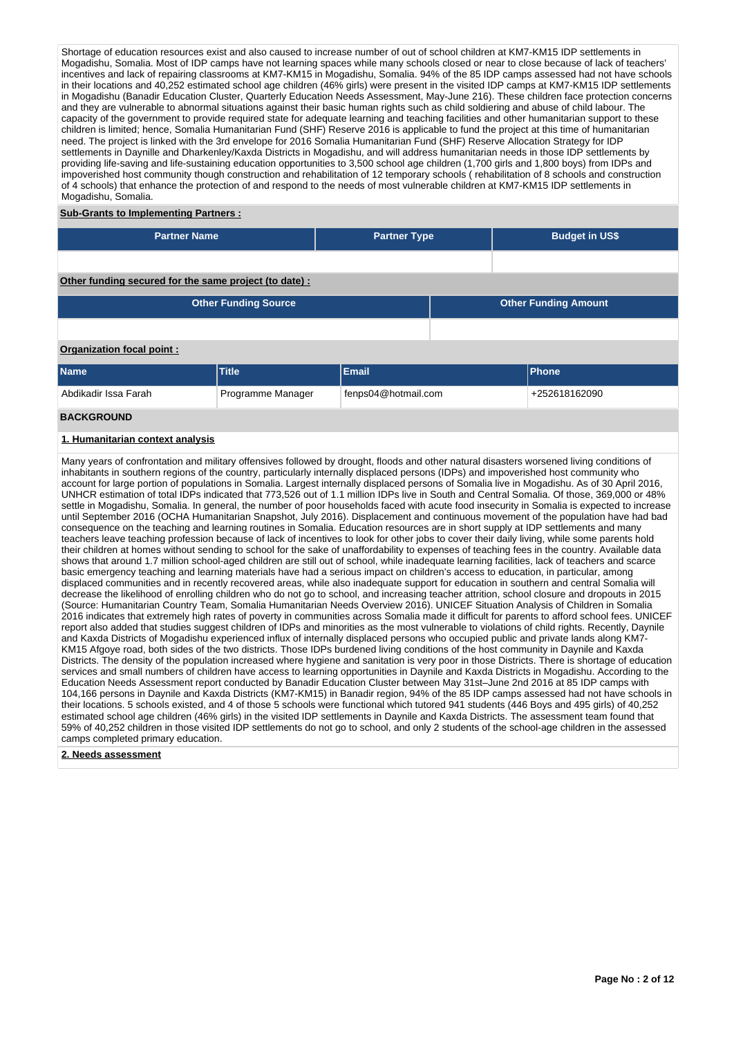Shortage of education resources exist and also caused to increase number of out of school children at KM7-KM15 IDP settlements in Mogadishu, Somalia. Most of IDP camps have not learning spaces while many schools closed or near to close because of lack of teachers' incentives and lack of repairing classrooms at KM7-KM15 in Mogadishu, Somalia. 94% of the 85 IDP camps assessed had not have schools in their locations and 40,252 estimated school age children (46% girls) were present in the visited IDP camps at KM7-KM15 IDP settlements in Mogadishu (Banadir Education Cluster, Quarterly Education Needs Assessment, May-June 216). These children face protection concerns and they are vulnerable to abnormal situations against their basic human rights such as child soldiering and abuse of child labour. The capacity of the government to provide required state for adequate learning and teaching facilities and other humanitarian support to these children is limited; hence, Somalia Humanitarian Fund (SHF) Reserve 2016 is applicable to fund the project at this time of humanitarian need. The project is linked with the 3rd envelope for 2016 Somalia Humanitarian Fund (SHF) Reserve Allocation Strategy for IDP settlements in Daynille and Dharkenley/Kaxda Districts in Mogadishu, and will address humanitarian needs in those IDP settlements by providing life-saving and life-sustaining education opportunities to 3,500 school age children (1,700 girls and 1,800 boys) from IDPs and impoverished host community though construction and rehabilitation of 12 temporary schools ( rehabilitation of 8 schools and construction of 4 schools) that enhance the protection of and respond to the needs of most vulnerable children at KM7-KM15 IDP settlements in Mogadishu, Somalia.

## **Sub-Grants to Implementing Partners :**

| <b>Partner Name</b>                                   | <b>Partner Type</b> | <b>Budget in US\$</b>       |
|-------------------------------------------------------|---------------------|-----------------------------|
|                                                       |                     |                             |
| Other funding secured for the same project (to date): |                     |                             |
| <b>Other Funding Source</b>                           |                     | <b>Other Funding Amount</b> |

## **Organization focal point :**

| <b>Name</b>          | Title             | Email               | Phone         |
|----------------------|-------------------|---------------------|---------------|
| Abdikadir Issa Farah | Programme Manager | fenps04@hotmail.com | +252618162090 |

## **BACKGROUND**

## **1. Humanitarian context analysis**

Many years of confrontation and military offensives followed by drought, floods and other natural disasters worsened living conditions of inhabitants in southern regions of the country, particularly internally displaced persons (IDPs) and impoverished host community who account for large portion of populations in Somalia. Largest internally displaced persons of Somalia live in Mogadishu. As of 30 April 2016, UNHCR estimation of total IDPs indicated that 773,526 out of 1.1 million IDPs live in South and Central Somalia. Of those, 369,000 or 48% settle in Mogadishu, Somalia. In general, the number of poor households faced with acute food insecurity in Somalia is expected to increase until September 2016 (OCHA Humanitarian Snapshot, July 2016). Displacement and continuous movement of the population have had bad consequence on the teaching and learning routines in Somalia. Education resources are in short supply at IDP settlements and many teachers leave teaching profession because of lack of incentives to look for other jobs to cover their daily living, while some parents hold their children at homes without sending to school for the sake of unaffordability to expenses of teaching fees in the country. Available data shows that around 1.7 million school-aged children are still out of school, while inadequate learning facilities, lack of teachers and scarce basic emergency teaching and learning materials have had a serious impact on children's access to education, in particular, among displaced communities and in recently recovered areas, while also inadequate support for education in southern and central Somalia will decrease the likelihood of enrolling children who do not go to school, and increasing teacher attrition, school closure and dropouts in 2015 (Source: Humanitarian Country Team, Somalia Humanitarian Needs Overview 2016). UNICEF Situation Analysis of Children in Somalia 2016 indicates that extremely high rates of poverty in communities across Somalia made it difficult for parents to afford school fees. UNICEF report also added that studies suggest children of IDPs and minorities as the most vulnerable to violations of child rights. Recently, Daynile and Kaxda Districts of Mogadishu experienced influx of internally displaced persons who occupied public and private lands along KM7- KM15 Afgoye road, both sides of the two districts. Those IDPs burdened living conditions of the host community in Daynile and Kaxda Districts. The density of the population increased where hygiene and sanitation is very poor in those Districts. There is shortage of education services and small numbers of children have access to learning opportunities in Daynile and Kaxda Districts in Mogadishu. According to the Education Needs Assessment report conducted by Banadir Education Cluster between May 31st–June 2nd 2016 at 85 IDP camps with 104,166 persons in Daynile and Kaxda Districts (KM7-KM15) in Banadir region, 94% of the 85 IDP camps assessed had not have schools in their locations. 5 schools existed, and 4 of those 5 schools were functional which tutored 941 students (446 Boys and 495 girls) of 40,252 estimated school age children (46% girls) in the visited IDP settlements in Daynile and Kaxda Districts. The assessment team found that 59% of 40,252 children in those visited IDP settlements do not go to school, and only 2 students of the school-age children in the assessed camps completed primary education.

## **2. Needs assessment**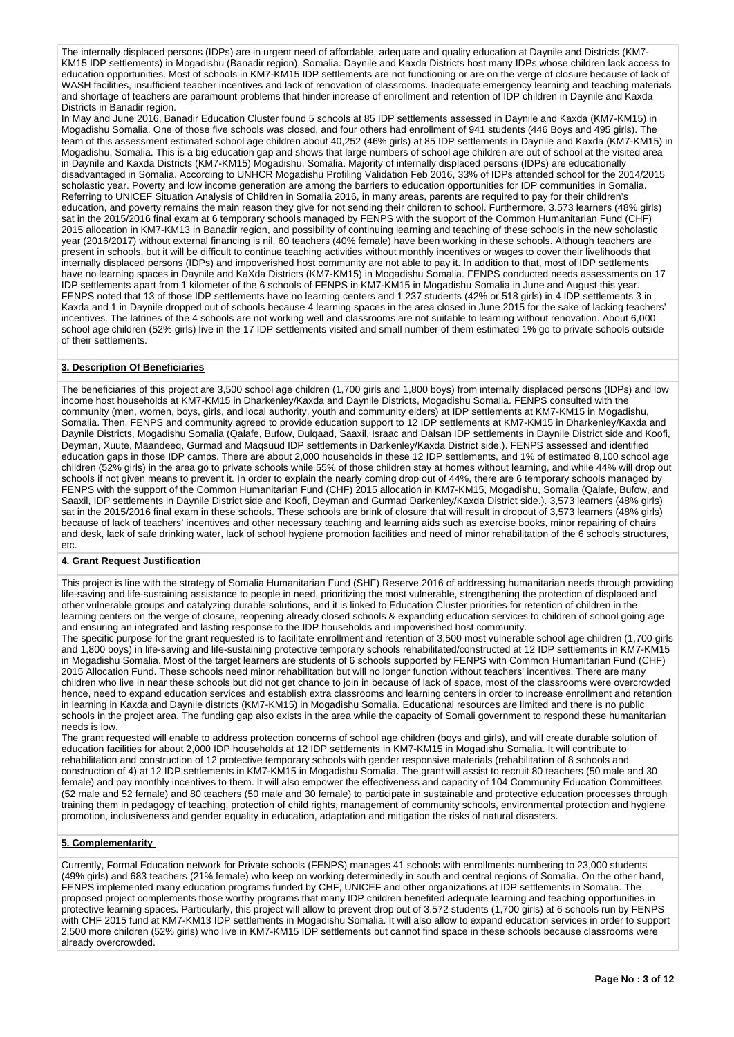The internally displaced persons (IDPs) are in urgent need of affordable, adequate and quality education at Daynile and Districts (KM7- KM15 IDP settlements) in Mogadishu (Banadir region), Somalia. Daynile and Kaxda Districts host many IDPs whose children lack access to education opportunities. Most of schools in KM7-KM15 IDP settlements are not functioning or are on the verge of closure because of lack of WASH facilities, insufficient teacher incentives and lack of renovation of classrooms. Inadequate emergency learning and teaching materials and shortage of teachers are paramount problems that hinder increase of enrollment and retention of IDP children in Daynile and Kaxda Districts in Banadir region.

In May and June 2016, Banadir Education Cluster found 5 schools at 85 IDP settlements assessed in Daynile and Kaxda (KM7-KM15) in Mogadishu Somalia. One of those five schools was closed, and four others had enrollment of 941 students (446 Boys and 495 girls). The team of this assessment estimated school age children about 40,252 (46% girls) at 85 IDP settlements in Daynile and Kaxda (KM7-KM15) in Mogadishu, Somalia. This is a big education gap and shows that large numbers of school age children are out of school at the visited area in Daynile and Kaxda Districts (KM7-KM15) Mogadishu, Somalia. Majority of internally displaced persons (IDPs) are educationally disadvantaged in Somalia. According to UNHCR Mogadishu Profiling Validation Feb 2016, 33% of IDPs attended school for the 2014/2015 scholastic year. Poverty and low income generation are among the barriers to education opportunities for IDP communities in Somalia. Referring to UNICEF Situation Analysis of Children in Somalia 2016, in many areas, parents are required to pay for their children's education, and poverty remains the main reason they give for not sending their children to school. Furthermore, 3,573 learners (48% girls) sat in the 2015/2016 final exam at 6 temporary schools managed by FENPS with the support of the Common Humanitarian Fund (CHF) 2015 allocation in KM7-KM13 in Banadir region, and possibility of continuing learning and teaching of these schools in the new scholastic year (2016/2017) without external financing is nil. 60 teachers (40% female) have been working in these schools. Although teachers are present in schools, but it will be difficult to continue teaching activities without monthly incentives or wages to cover their livelihoods that internally displaced persons (IDPs) and impoverished host community are not able to pay it. In addition to that, most of IDP settlements have no learning spaces in Daynile and KaXda Districts (KM7-KM15) in Mogadishu Somalia. FENPS conducted needs assessments on 17 IDP settlements apart from 1 kilometer of the 6 schools of FENPS in KM7-KM15 in Mogadishu Somalia in June and August this year. FENPS noted that 13 of those IDP settlements have no learning centers and 1,237 students (42% or 518 girls) in 4 IDP settlements 3 in Kaxda and 1 in Daynile dropped out of schools because 4 learning spaces in the area closed in June 2015 for the sake of lacking teachers' incentives. The latrines of the 4 schools are not working well and classrooms are not suitable to learning without renovation. About 6,000 school age children (52% girls) live in the 17 IDP settlements visited and small number of them estimated 1% go to private schools outside of their settlements.

## **3. Description Of Beneficiaries**

The beneficiaries of this project are 3,500 school age children (1,700 girls and 1,800 boys) from internally displaced persons (IDPs) and low income host households at KM7-KM15 in Dharkenley/Kaxda and Daynile Districts, Mogadishu Somalia. FENPS consulted with the community (men, women, boys, girls, and local authority, youth and community elders) at IDP settlements at KM7-KM15 in Mogadishu, Somalia. Then, FENPS and community agreed to provide education support to 12 IDP settlements at KM7-KM15 in Dharkenley/Kaxda and Daynile Districts, Mogadishu Somalia (Qalafe, Bufow, Dulqaad, Saaxil, Israac and Dalsan IDP settlements in Daynile District side and Koofi, Deyman, Xuute, Maandeeq, Gurmad and Maqsuud IDP settlements in Darkenley/Kaxda District side.). FENPS assessed and identified education gaps in those IDP camps. There are about 2,000 households in these 12 IDP settlements, and 1% of estimated 8,100 school age children (52% girls) in the area go to private schools while 55% of those children stay at homes without learning, and while 44% will drop out schools if not given means to prevent it. In order to explain the nearly coming drop out of 44%, there are 6 temporary schools managed by FENPS with the support of the Common Humanitarian Fund (CHF) 2015 allocation in KM7-KM15, Mogadishu, Somalia (Qalafe, Bufow, and Saaxil, IDP settlements in Daynile District side and Koofi, Deyman and Gurmad Darkenley/Kaxda District side.). 3,573 learners (48% girls) sat in the 2015/2016 final exam in these schools. These schools are brink of closure that will result in dropout of 3,573 learners (48% girls) because of lack of teachers' incentives and other necessary teaching and learning aids such as exercise books, minor repairing of chairs and desk, lack of safe drinking water, lack of school hygiene promotion facilities and need of minor rehabilitation of the 6 schools structures, etc.

# **4. Grant Request Justification**

This project is line with the strategy of Somalia Humanitarian Fund (SHF) Reserve 2016 of addressing humanitarian needs through providing life-saving and life-sustaining assistance to people in need, prioritizing the most vulnerable, strengthening the protection of displaced and other vulnerable groups and catalyzing durable solutions, and it is linked to Education Cluster priorities for retention of children in the learning centers on the verge of closure, reopening already closed schools & expanding education services to children of school going age and ensuring an integrated and lasting response to the IDP households and impoverished host community.

The specific purpose for the grant requested is to facilitate enrollment and retention of 3,500 most vulnerable school age children (1,700 girls and 1,800 boys) in life-saving and life-sustaining protective temporary schools rehabilitated/constructed at 12 IDP settlements in KM7-KM15 in Mogadishu Somalia. Most of the target learners are students of 6 schools supported by FENPS with Common Humanitarian Fund (CHF) 2015 Allocation Fund. These schools need minor rehabilitation but will no longer function without teachers' incentives. There are many children who live in near these schools but did not get chance to join in because of lack of space, most of the classrooms were overcrowded hence, need to expand education services and establish extra classrooms and learning centers in order to increase enrollment and retention in learning in Kaxda and Daynile districts (KM7-KM15) in Mogadishu Somalia. Educational resources are limited and there is no public schools in the project area. The funding gap also exists in the area while the capacity of Somali government to respond these humanitarian needs is low.

The grant requested will enable to address protection concerns of school age children (boys and girls), and will create durable solution of education facilities for about 2,000 IDP households at 12 IDP settlements in KM7-KM15 in Mogadishu Somalia. It will contribute to rehabilitation and construction of 12 protective temporary schools with gender responsive materials (rehabilitation of 8 schools and construction of 4) at 12 IDP settlements in KM7-KM15 in Mogadishu Somalia. The grant will assist to recruit 80 teachers (50 male and 30 female) and pay monthly incentives to them. It will also empower the effectiveness and capacity of 104 Community Education Committees (52 male and 52 female) and 80 teachers (50 male and 30 female) to participate in sustainable and protective education processes through training them in pedagogy of teaching, protection of child rights, management of community schools, environmental protection and hygiene promotion, inclusiveness and gender equality in education, adaptation and mitigation the risks of natural disasters.

# **5. Complementarity**

Currently, Formal Education network for Private schools (FENPS) manages 41 schools with enrollments numbering to 23,000 students (49% girls) and 683 teachers (21% female) who keep on working determinedly in south and central regions of Somalia. On the other hand, FENPS implemented many education programs funded by CHF, UNICEF and other organizations at IDP settlements in Somalia. The proposed project complements those worthy programs that many IDP children benefited adequate learning and teaching opportunities in protective learning spaces. Particularly, this project will allow to prevent drop out of 3,572 students (1,700 girls) at 6 schools run by FENPS with CHF 2015 fund at KM7-KM13 IDP settlements in Mogadishu Somalia. It will also allow to expand education services in order to support 2,500 more children (52% girls) who live in KM7-KM15 IDP settlements but cannot find space in these schools because classrooms were already overcrowded.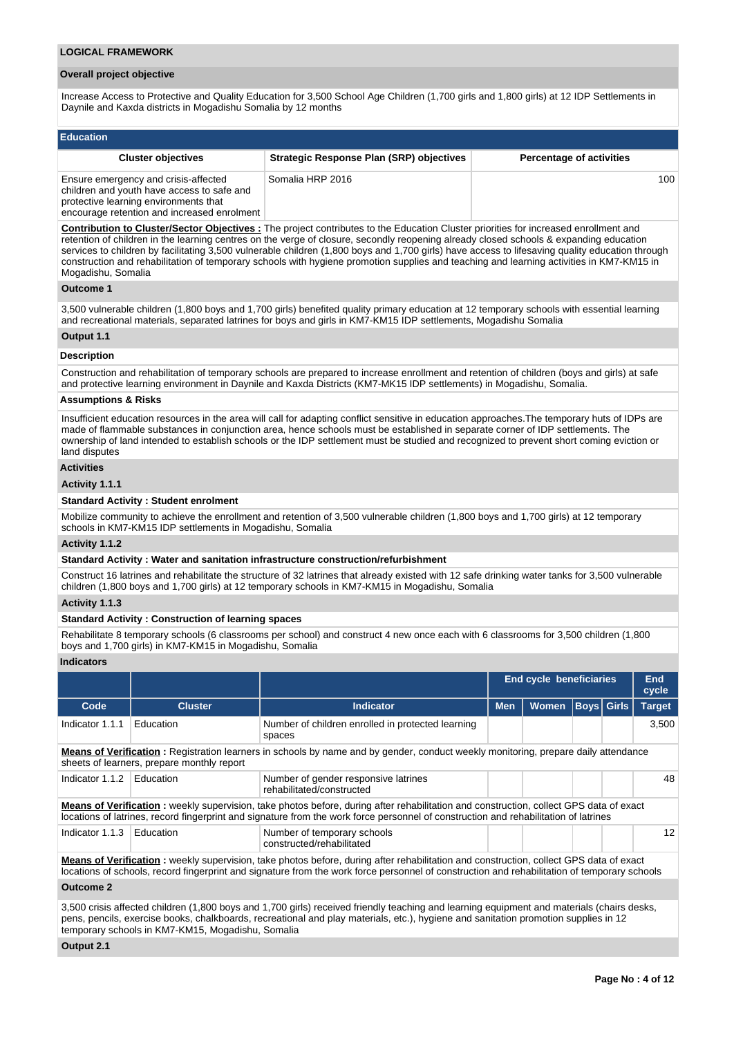#### **LOGICAL FRAMEWORK**

#### **Overall project objective**

Increase Access to Protective and Quality Education for 3,500 School Age Children (1,700 girls and 1,800 girls) at 12 IDP Settlements in Daynile and Kaxda districts in Mogadishu Somalia by 12 months

| <b>Education</b>                                                                                                                                                           |                                                 |                                 |
|----------------------------------------------------------------------------------------------------------------------------------------------------------------------------|-------------------------------------------------|---------------------------------|
| <b>Cluster objectives</b>                                                                                                                                                  | <b>Strategic Response Plan (SRP) objectives</b> | <b>Percentage of activities</b> |
| Ensure emergency and crisis-affected<br>children and youth have access to safe and<br>protective learning environments that<br>encourage retention and increased enrolment | Somalia HRP 2016                                | 100                             |

**Contribution to Cluster/Sector Objectives :** The project contributes to the Education Cluster priorities for increased enrollment and retention of children in the learning centres on the verge of closure, secondly reopening already closed schools & expanding education services to children by facilitating 3,500 vulnerable children (1,800 boys and 1,700 girls) have access to lifesaving quality education through construction and rehabilitation of temporary schools with hygiene promotion supplies and teaching and learning activities in KM7-KM15 in Mogadishu, Somalia

## **Outcome 1**

3,500 vulnerable children (1,800 boys and 1,700 girls) benefited quality primary education at 12 temporary schools with essential learning and recreational materials, separated latrines for boys and girls in KM7-KM15 IDP settlements, Mogadishu Somalia

#### **Output 1.1**

# **Description**

Construction and rehabilitation of temporary schools are prepared to increase enrollment and retention of children (boys and girls) at safe and protective learning environment in Daynile and Kaxda Districts (KM7-MK15 IDP settlements) in Mogadishu, Somalia.

## **Assumptions & Risks**

Insufficient education resources in the area will call for adapting conflict sensitive in education approaches.The temporary huts of IDPs are made of flammable substances in conjunction area, hence schools must be established in separate corner of IDP settlements. The ownership of land intended to establish schools or the IDP settlement must be studied and recognized to prevent short coming eviction or land disputes

# **Activities**

## **Activity 1.1.1**

#### **Standard Activity : Student enrolment**

Mobilize community to achieve the enrollment and retention of 3,500 vulnerable children (1,800 boys and 1,700 girls) at 12 temporary schools in KM7-KM15 IDP settlements in Mogadishu, Somalia

## **Activity 1.1.2**

## **Standard Activity : Water and sanitation infrastructure construction/refurbishment**

Construct 16 latrines and rehabilitate the structure of 32 latrines that already existed with 12 safe drinking water tanks for 3,500 vulnerable children (1,800 boys and 1,700 girls) at 12 temporary schools in KM7-KM15 in Mogadishu, Somalia

#### **Activity 1.1.3**

## **Standard Activity : Construction of learning spaces**

Rehabilitate 8 temporary schools (6 classrooms per school) and construct 4 new once each with 6 classrooms for 3,500 children (1,800 boys and 1,700 girls) in KM7-KM15 in Mogadishu, Somalia

## **Indicators**

|                                                                                                                                                                                                                                                                                                                                        |                                                                                                                                                                                                                                                                                        |                                                                                                                                                                                                                                                                                |                                                 | <b>End cycle beneficiaries</b> |  |  | <b>End</b><br>cycle |  |
|----------------------------------------------------------------------------------------------------------------------------------------------------------------------------------------------------------------------------------------------------------------------------------------------------------------------------------------|----------------------------------------------------------------------------------------------------------------------------------------------------------------------------------------------------------------------------------------------------------------------------------------|--------------------------------------------------------------------------------------------------------------------------------------------------------------------------------------------------------------------------------------------------------------------------------|-------------------------------------------------|--------------------------------|--|--|---------------------|--|
| Code                                                                                                                                                                                                                                                                                                                                   | <b>Cluster</b>                                                                                                                                                                                                                                                                         | <b>Indicator</b>                                                                                                                                                                                                                                                               | <b>Men</b><br><b>Boys</b> Girls<br><b>Women</b> |                                |  |  | <b>Target</b>       |  |
| Indicator 1.1.1                                                                                                                                                                                                                                                                                                                        | Education                                                                                                                                                                                                                                                                              | Number of children enrolled in protected learning<br>spaces                                                                                                                                                                                                                    |                                                 |                                |  |  | 3,500               |  |
|                                                                                                                                                                                                                                                                                                                                        | <b>Means of Verification</b> : Registration learners in schools by name and by gender, conduct weekly monitoring, prepare daily attendance<br>sheets of learners, prepare monthly report                                                                                               |                                                                                                                                                                                                                                                                                |                                                 |                                |  |  |                     |  |
| Indicator 1.1.2                                                                                                                                                                                                                                                                                                                        | Education<br>Number of gender responsive latrines<br>48<br>rehabilitated/constructed                                                                                                                                                                                                   |                                                                                                                                                                                                                                                                                |                                                 |                                |  |  |                     |  |
|                                                                                                                                                                                                                                                                                                                                        |                                                                                                                                                                                                                                                                                        | Means of Verification: weekly supervision, take photos before, during after rehabilitation and construction, collect GPS data of exact<br>locations of latrines, record fingerprint and signature from the work force personnel of construction and rehabilitation of latrines |                                                 |                                |  |  |                     |  |
| Indicator 1.1.3                                                                                                                                                                                                                                                                                                                        | Education                                                                                                                                                                                                                                                                              | Number of temporary schools<br>constructed/rehabilitated                                                                                                                                                                                                                       |                                                 |                                |  |  | 12                  |  |
|                                                                                                                                                                                                                                                                                                                                        | Means of Verification: weekly supervision, take photos before, during after rehabilitation and construction, collect GPS data of exact<br>locations of schools, record fingerprint and signature from the work force personnel of construction and rehabilitation of temporary schools |                                                                                                                                                                                                                                                                                |                                                 |                                |  |  |                     |  |
| <b>Outcome 2</b>                                                                                                                                                                                                                                                                                                                       |                                                                                                                                                                                                                                                                                        |                                                                                                                                                                                                                                                                                |                                                 |                                |  |  |                     |  |
| 3,500 crisis affected children (1,800 boys and 1,700 girls) received friendly teaching and learning equipment and materials (chairs desks,<br>pens, pencils, exercise books, chalkboards, recreational and play materials, etc.), hygiene and sanitation promotion supplies in 12<br>temporary schools in KM7-KM15, Mogadishu, Somalia |                                                                                                                                                                                                                                                                                        |                                                                                                                                                                                                                                                                                |                                                 |                                |  |  |                     |  |

**Output 2.1**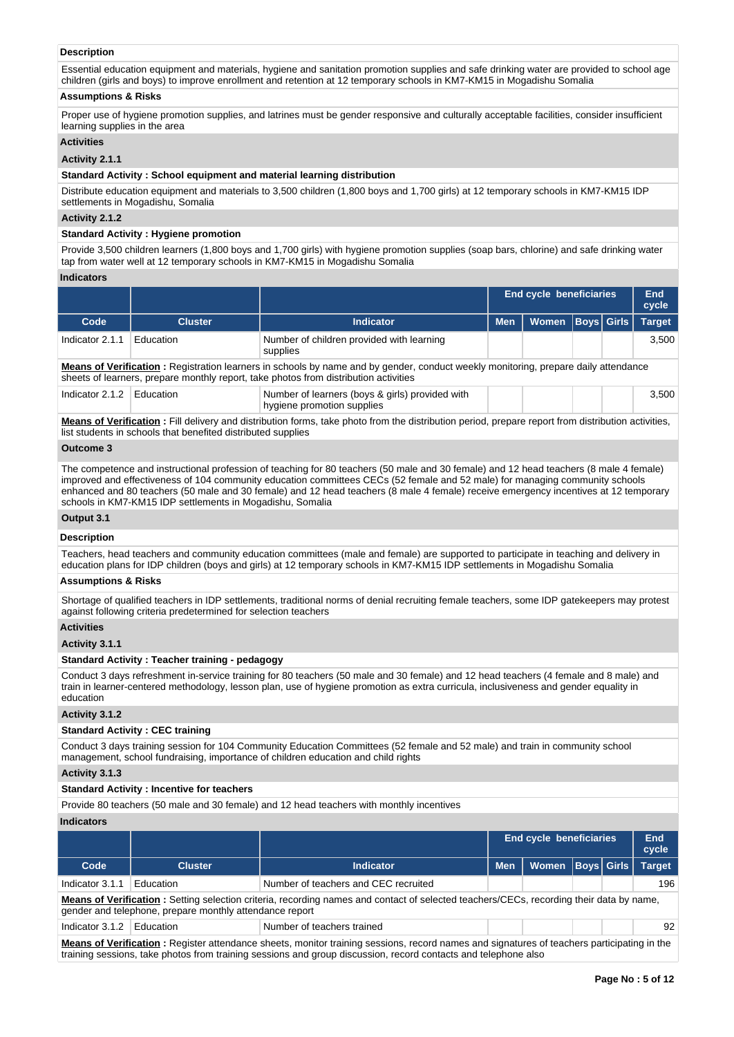# **Description**

Essential education equipment and materials, hygiene and sanitation promotion supplies and safe drinking water are provided to school age children (girls and boys) to improve enrollment and retention at 12 temporary schools in KM7-KM15 in Mogadishu Somalia

## **Assumptions & Risks**

Proper use of hygiene promotion supplies, and latrines must be gender responsive and culturally acceptable facilities, consider insufficient learning supplies in the area

# **Activities**

# **Activity 2.1.1**

## **Standard Activity : School equipment and material learning distribution**

Distribute education equipment and materials to 3,500 children (1,800 boys and 1,700 girls) at 12 temporary schools in KM7-KM15 IDP settlements in Mogadishu, Somalia

#### **Activity 2.1.2**

## **Standard Activity : Hygiene promotion**

Provide 3,500 children learners (1,800 boys and 1,700 girls) with hygiene promotion supplies (soap bars, chlorine) and safe drinking water tap from water well at 12 temporary schools in KM7-KM15 in Mogadishu Somalia

#### **Indicators**

|                                                                                                                                                                                                                                                                                                                                                                                                                |                                                                                                                                                                                                                            |                                                                                                                                                    |            | <b>End cycle beneficiaries</b> |  |                   | End<br>cycle  |  |  |
|----------------------------------------------------------------------------------------------------------------------------------------------------------------------------------------------------------------------------------------------------------------------------------------------------------------------------------------------------------------------------------------------------------------|----------------------------------------------------------------------------------------------------------------------------------------------------------------------------------------------------------------------------|----------------------------------------------------------------------------------------------------------------------------------------------------|------------|--------------------------------|--|-------------------|---------------|--|--|
| Code                                                                                                                                                                                                                                                                                                                                                                                                           | <b>Cluster</b>                                                                                                                                                                                                             | <b>Indicator</b>                                                                                                                                   | <b>Men</b> | <b>Women</b>                   |  | <b>Boys</b> Girls | <b>Target</b> |  |  |
| Indicator 2.1.1                                                                                                                                                                                                                                                                                                                                                                                                | Education                                                                                                                                                                                                                  | Number of children provided with learning<br>supplies                                                                                              |            |                                |  |                   | 3.500         |  |  |
|                                                                                                                                                                                                                                                                                                                                                                                                                | Means of Verification: Registration learners in schools by name and by gender, conduct weekly monitoring, prepare daily attendance<br>sheets of learners, prepare monthly report, take photos from distribution activities |                                                                                                                                                    |            |                                |  |                   |               |  |  |
| Indicator 2.1.2                                                                                                                                                                                                                                                                                                                                                                                                | Education                                                                                                                                                                                                                  | Number of learners (boys & girls) provided with<br>hygiene promotion supplies                                                                      |            |                                |  |                   | 3,500         |  |  |
|                                                                                                                                                                                                                                                                                                                                                                                                                | list students in schools that benefited distributed supplies                                                                                                                                                               | Means of Verification: Fill delivery and distribution forms, take photo from the distribution period, prepare report from distribution activities, |            |                                |  |                   |               |  |  |
| Outcome 3                                                                                                                                                                                                                                                                                                                                                                                                      |                                                                                                                                                                                                                            |                                                                                                                                                    |            |                                |  |                   |               |  |  |
| The competence and instructional profession of teaching for 80 teachers (50 male and 30 female) and 12 head teachers (8 male 4 female)<br>improved and effectiveness of 104 community education committees CECs (52 female and 52 male) for managing community schools<br>enhanced and 80 teachers (50 male and 30 female) and 12 head teachers (8 male 4 female) receive emergency incentives at 12 temporary |                                                                                                                                                                                                                            |                                                                                                                                                    |            |                                |  |                   |               |  |  |

schools in KM7-KM15 IDP settlements in Mogadishu, Somalia

## **Output 3.1**

**Description**

Teachers, head teachers and community education committees (male and female) are supported to participate in teaching and delivery in education plans for IDP children (boys and girls) at 12 temporary schools in KM7-KM15 IDP settlements in Mogadishu Somalia

## **Assumptions & Risks**

Shortage of qualified teachers in IDP settlements, traditional norms of denial recruiting female teachers, some IDP gatekeepers may protest against following criteria predetermined for selection teachers

# **Activities**

**Activity 3.1.1** 

#### **Standard Activity : Teacher training - pedagogy**

Conduct 3 days refreshment in-service training for 80 teachers (50 male and 30 female) and 12 head teachers (4 female and 8 male) and train in learner-centered methodology, lesson plan, use of hygiene promotion as extra curricula, inclusiveness and gender equality in education

#### **Activity 3.1.2**

#### **Standard Activity : CEC training**

Conduct 3 days training session for 104 Community Education Committees (52 female and 52 male) and train in community school management, school fundraising, importance of children education and child rights

#### **Activity 3.1.3**

## **Standard Activity : Incentive for teachers**

Provide 80 teachers (50 male and 30 female) and 12 head teachers with monthly incentives

## **Indicators**

|                                                                                                                                            |                                                                                                                                                                                                    |                                             |            | <b>End cycle beneficiaries</b> |  |  | End<br>cycle  |
|--------------------------------------------------------------------------------------------------------------------------------------------|----------------------------------------------------------------------------------------------------------------------------------------------------------------------------------------------------|---------------------------------------------|------------|--------------------------------|--|--|---------------|
| Code                                                                                                                                       | <b>Cluster</b>                                                                                                                                                                                     | Indicator                                   | <b>Men</b> | Women   Boys   Girls           |  |  | <b>Target</b> |
| Indicator 3.1.1                                                                                                                            | <b>Education</b>                                                                                                                                                                                   | Number of teachers and CEC recruited<br>196 |            |                                |  |  |               |
|                                                                                                                                            | Means of Verification: Setting selection criteria, recording names and contact of selected teachers/CECs, recording their data by name,<br>gender and telephone, prepare monthly attendance report |                                             |            |                                |  |  |               |
| Indicator 3.1.2                                                                                                                            | 92<br>Number of teachers trained<br>Education                                                                                                                                                      |                                             |            |                                |  |  |               |
| Means of Verification: Register attendance sheets, monitor training sessions, record names and signatures of teachers participating in the |                                                                                                                                                                                                    |                                             |            |                                |  |  |               |

**Means of Verification :** Register attendance sheets, monitor training sessions, record names and signatures of teachers participating in the training sessions, take photos from training sessions and group discussion, record contacts and telephone also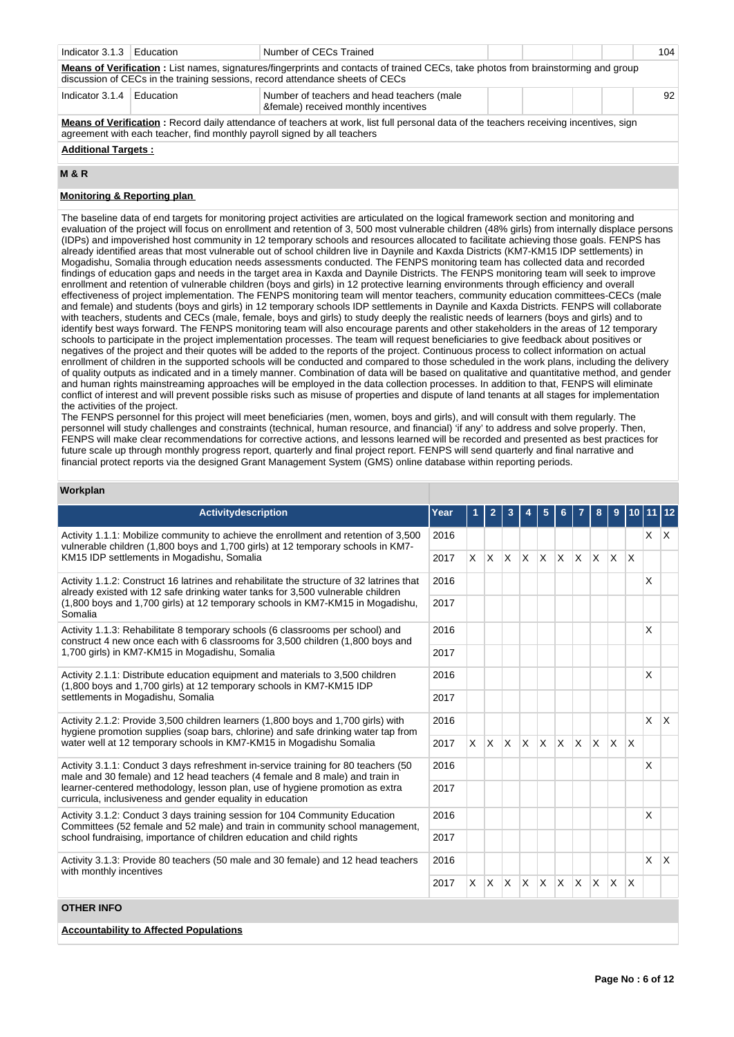| Indicator 3.1.3 | Education                                                                                                                                                                                                                 | Number of CECs Trained                                                                                                                                                                                              |  |  |  |  | 104 |
|-----------------|---------------------------------------------------------------------------------------------------------------------------------------------------------------------------------------------------------------------------|---------------------------------------------------------------------------------------------------------------------------------------------------------------------------------------------------------------------|--|--|--|--|-----|
|                 |                                                                                                                                                                                                                           | Means of Verification : List names, signatures/fingerprints and contacts of trained CECs, take photos from brainstorming and group<br>discussion of CECs in the training sessions, record attendance sheets of CECs |  |  |  |  |     |
| Indicator 3.1.4 | <b>F</b> ducation                                                                                                                                                                                                         | Number of teachers and head teachers (male<br>♀) received monthly incentives                                                                                                                                        |  |  |  |  | 92  |
|                 | <b>Means of Verification:</b> Record daily attendance of teachers at work, list full personal data of the teachers receiving incentives, sign<br>agreement with each teacher, find monthly payroll signed by all teachers |                                                                                                                                                                                                                     |  |  |  |  |     |

# **Additional Targets :**

## **M & R**

# **Monitoring & Reporting plan**

The baseline data of end targets for monitoring project activities are articulated on the logical framework section and monitoring and evaluation of the project will focus on enrollment and retention of 3, 500 most vulnerable children (48% girls) from internally displace persons (IDPs) and impoverished host community in 12 temporary schools and resources allocated to facilitate achieving those goals. FENPS has already identified areas that most vulnerable out of school children live in Daynile and Kaxda Districts (KM7-KM15 IDP settlements) in Mogadishu, Somalia through education needs assessments conducted. The FENPS monitoring team has collected data and recorded findings of education gaps and needs in the target area in Kaxda and Daynile Districts. The FENPS monitoring team will seek to improve enrollment and retention of vulnerable children (boys and girls) in 12 protective learning environments through efficiency and overall effectiveness of project implementation. The FENPS monitoring team will mentor teachers, community education committees-CECs (male and female) and students (boys and girls) in 12 temporary schools IDP settlements in Daynile and Kaxda Districts. FENPS will collaborate with teachers, students and CECs (male, female, boys and girls) to study deeply the realistic needs of learners (boys and girls) and to identify best ways forward. The FENPS monitoring team will also encourage parents and other stakeholders in the areas of 12 temporary schools to participate in the project implementation processes. The team will request beneficiaries to give feedback about positives or negatives of the project and their quotes will be added to the reports of the project. Continuous process to collect information on actual enrollment of children in the supported schools will be conducted and compared to those scheduled in the work plans, including the delivery of quality outputs as indicated and in a timely manner. Combination of data will be based on qualitative and quantitative method, and gender and human rights mainstreaming approaches will be employed in the data collection processes. In addition to that, FENPS will eliminate conflict of interest and will prevent possible risks such as misuse of properties and dispute of land tenants at all stages for implementation the activities of the project.

The FENPS personnel for this project will meet beneficiaries (men, women, boys and girls), and will consult with them regularly. The personnel will study challenges and constraints (technical, human resource, and financial) 'if any' to address and solve properly. Then, FENPS will make clear recommendations for corrective actions, and lessons learned will be recorded and presented as best practices for future scale up through monthly progress report, quarterly and final project report. FENPS will send quarterly and final narrative and financial protect reports via the designed Grant Management System (GMS) online database within reporting periods.

## **Workplan**

| <b>Activitydescription</b>                                                                                                                                                                                            | Year |          | $\overline{2}$ | 3            |              | 5        | 6        |          | 8        | 9            |                         | 10 11      | 12           |
|-----------------------------------------------------------------------------------------------------------------------------------------------------------------------------------------------------------------------|------|----------|----------------|--------------|--------------|----------|----------|----------|----------|--------------|-------------------------|------------|--------------|
| Activity 1.1.1: Mobilize community to achieve the enrollment and retention of 3,500<br>vulnerable children (1,800 boys and 1,700 girls) at 12 temporary schools in KM7-<br>KM15 IDP settlements in Mogadishu, Somalia |      |          |                |              |              |          |          |          |          |              |                         | $x \mid x$ |              |
|                                                                                                                                                                                                                       |      | X.       | X.             | $\mathsf{X}$ | $\mathsf{X}$ | <b>X</b> | $\times$ | IX.      | $\times$ | $\mathsf{x}$ | $\overline{\mathsf{x}}$ |            |              |
| Activity 1.1.2: Construct 16 latrines and rehabilitate the structure of 32 latrines that<br>already existed with 12 safe drinking water tanks for 3,500 vulnerable children                                           | 2016 |          |                |              |              |          |          |          |          |              |                         | X          |              |
| (1,800 boys and 1,700 girls) at 12 temporary schools in KM7-KM15 in Mogadishu,<br>Somalia                                                                                                                             | 2017 |          |                |              |              |          |          |          |          |              |                         |            |              |
| Activity 1.1.3: Rehabilitate 8 temporary schools (6 classrooms per school) and<br>construct 4 new once each with 6 classrooms for 3,500 children (1,800 boys and<br>1,700 girls) in KM7-KM15 in Mogadishu, Somalia    | 2016 |          |                |              |              |          |          |          |          |              |                         | X          |              |
|                                                                                                                                                                                                                       | 2017 |          |                |              |              |          |          |          |          |              |                         |            |              |
| Activity 2.1.1: Distribute education equipment and materials to 3,500 children<br>(1,800 boys and 1,700 girls) at 12 temporary schools in KM7-KM15 IDP                                                                | 2016 |          |                |              |              |          |          |          |          |              |                         | X          |              |
| settlements in Mogadishu, Somalia                                                                                                                                                                                     |      |          |                |              |              |          |          |          |          |              |                         |            |              |
| Activity 2.1.2: Provide 3,500 children learners (1,800 boys and 1,700 girls) with<br>hygiene promotion supplies (soap bars, chlorine) and safe drinking water tap from                                                | 2016 |          |                |              |              |          |          |          |          |              |                         | $\times$   | $\mathsf{X}$ |
| water well at 12 temporary schools in KM7-KM15 in Mogadishu Somalia                                                                                                                                                   | 2017 | $\times$ | <b>X</b>       | $\mathsf{X}$ | ΙX.          | X        | <b>X</b> | X        | $\times$ | X            | $\mathsf{\chi}$         |            |              |
| Activity 3.1.1: Conduct 3 days refreshment in-service training for 80 teachers (50<br>male and 30 female) and 12 head teachers (4 female and 8 male) and train in                                                     | 2016 |          |                |              |              |          |          |          |          |              |                         | X          |              |
| learner-centered methodology, lesson plan, use of hygiene promotion as extra<br>curricula, inclusiveness and gender equality in education                                                                             | 2017 |          |                |              |              |          |          |          |          |              |                         |            |              |
| Activity 3.1.2: Conduct 3 days training session for 104 Community Education<br>Committees (52 female and 52 male) and train in community school management,                                                           | 2016 |          |                |              |              |          |          |          |          |              |                         | X          |              |
| school fundraising, importance of children education and child rights                                                                                                                                                 | 2017 |          |                |              |              |          |          |          |          |              |                         |            |              |
| Activity 3.1.3: Provide 80 teachers (50 male and 30 female) and 12 head teachers<br>with monthly incentives                                                                                                           | 2016 |          |                |              |              |          |          |          |          |              |                         | $\times$   | $\mathsf{X}$ |
|                                                                                                                                                                                                                       |      | X        | X.             | ΙX.          | $\mathsf{X}$ | $\times$ | X        | <b>X</b> | X        | $\times$     | <sup>X</sup>            |            |              |
| <b>OTHER INFO</b>                                                                                                                                                                                                     |      |          |                |              |              |          |          |          |          |              |                         |            |              |
| <b>Accountability to Affected Populations</b>                                                                                                                                                                         |      |          |                |              |              |          |          |          |          |              |                         |            |              |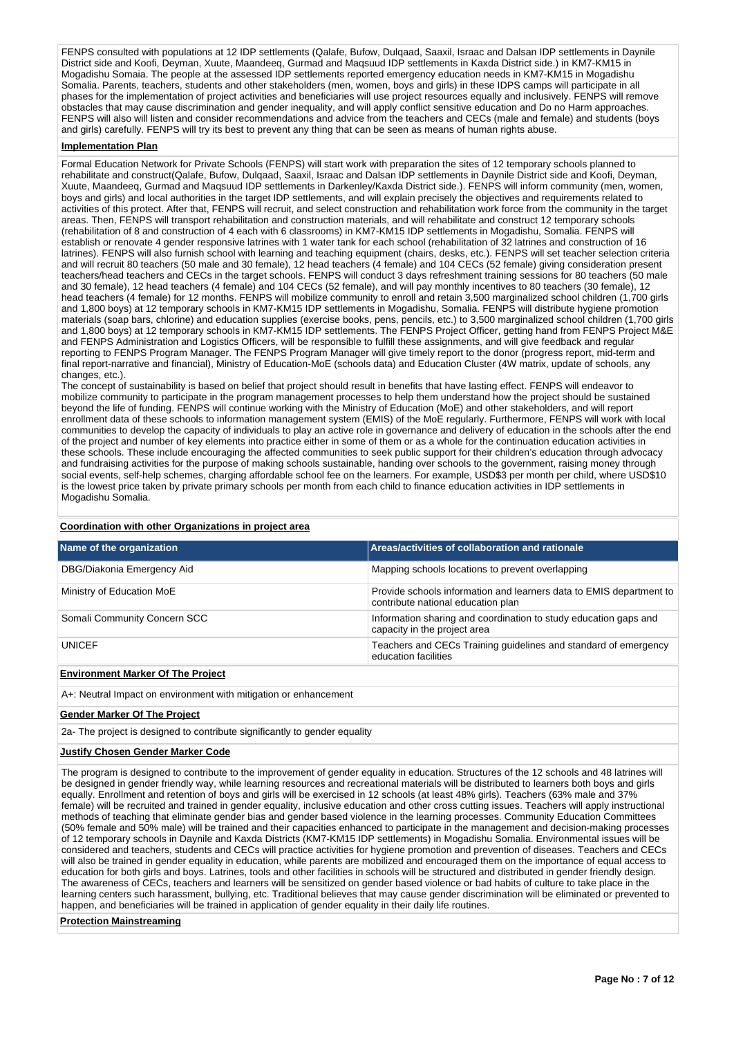FENPS consulted with populations at 12 IDP settlements (Qalafe, Bufow, Dulqaad, Saaxil, Israac and Dalsan IDP settlements in Daynile District side and Koofi, Deyman, Xuute, Maandeeq, Gurmad and Maqsuud IDP settlements in Kaxda District side.) in KM7-KM15 in Mogadishu Somaia. The people at the assessed IDP settlements reported emergency education needs in KM7-KM15 in Mogadishu Somalia. Parents, teachers, students and other stakeholders (men, women, boys and girls) in these IDPS camps will participate in all phases for the implementation of project activities and beneficiaries will use project resources equally and inclusively. FENPS will remove obstacles that may cause discrimination and gender inequality, and will apply conflict sensitive education and Do no Harm approaches. FENPS will also will listen and consider recommendations and advice from the teachers and CECs (male and female) and students (boys and girls) carefully. FENPS will try its best to prevent any thing that can be seen as means of human rights abuse.

## **Implementation Plan**

Formal Education Network for Private Schools (FENPS) will start work with preparation the sites of 12 temporary schools planned to rehabilitate and construct(Qalafe, Bufow, Dulqaad, Saaxil, Israac and Dalsan IDP settlements in Daynile District side and Koofi, Deyman, Xuute, Maandeeq, Gurmad and Maqsuud IDP settlements in Darkenley/Kaxda District side.). FENPS will inform community (men, women, boys and girls) and local authorities in the target IDP settlements, and will explain precisely the objectives and requirements related to activities of this protect. After that, FENPS will recruit, and select construction and rehabilitation work force from the community in the target areas. Then, FENPS will transport rehabilitation and construction materials, and will rehabilitate and construct 12 temporary schools (rehabilitation of 8 and construction of 4 each with 6 classrooms) in KM7-KM15 IDP settlements in Mogadishu, Somalia. FENPS will establish or renovate 4 gender responsive latrines with 1 water tank for each school (rehabilitation of 32 latrines and construction of 16 latrines). FENPS will also furnish school with learning and teaching equipment (chairs, desks, etc.). FENPS will set teacher selection criteria and will recruit 80 teachers (50 male and 30 female), 12 head teachers (4 female) and 104 CECs (52 female) giving consideration present teachers/head teachers and CECs in the target schools. FENPS will conduct 3 days refreshment training sessions for 80 teachers (50 male and 30 female), 12 head teachers (4 female) and 104 CECs (52 female), and will pay monthly incentives to 80 teachers (30 female), 12 head teachers (4 female) for 12 months. FENPS will mobilize community to enroll and retain 3,500 marginalized school children (1,700 girls and 1,800 boys) at 12 temporary schools in KM7-KM15 IDP settlements in Mogadishu, Somalia. FENPS will distribute hygiene promotion materials (soap bars, chlorine) and education supplies (exercise books, pens, pencils, etc.) to 3,500 marginalized school children (1,700 girls and 1,800 boys) at 12 temporary schools in KM7-KM15 IDP settlements. The FENPS Project Officer, getting hand from FENPS Project M&E and FENPS Administration and Logistics Officers, will be responsible to fulfill these assignments, and will give feedback and regular reporting to FENPS Program Manager. The FENPS Program Manager will give timely report to the donor (progress report, mid-term and final report-narrative and financial), Ministry of Education-MoE (schools data) and Education Cluster (4W matrix, update of schools, any changes, etc.).

The concept of sustainability is based on belief that project should result in benefits that have lasting effect. FENPS will endeavor to mobilize community to participate in the program management processes to help them understand how the project should be sustained beyond the life of funding. FENPS will continue working with the Ministry of Education (MoE) and other stakeholders, and will report enrollment data of these schools to information management system (EMIS) of the MoE regularly. Furthermore, FENPS will work with local communities to develop the capacity of individuals to play an active role in governance and delivery of education in the schools after the end of the project and number of key elements into practice either in some of them or as a whole for the continuation education activities in these schools. These include encouraging the affected communities to seek public support for their children's education through advocacy and fundraising activities for the purpose of making schools sustainable, handing over schools to the government, raising money through social events, self-help schemes, charging affordable school fee on the learners. For example, USD\$3 per month per child, where USD\$10 is the lowest price taken by private primary schools per month from each child to finance education activities in IDP settlements in Mogadishu Somalia.

#### **Coordination with other Organizations in project area**

| Name of the organization                 | Areas/activities of collaboration and rationale                                                           |
|------------------------------------------|-----------------------------------------------------------------------------------------------------------|
| DBG/Diakonia Emergency Aid               | Mapping schools locations to prevent overlapping                                                          |
| Ministry of Education MoE                | Provide schools information and learners data to EMIS department to<br>contribute national education plan |
| Somali Community Concern SCC             | Information sharing and coordination to study education gaps and<br>capacity in the project area          |
| <b>UNICEF</b>                            | Teachers and CECs Training guidelines and standard of emergency<br>education facilities                   |
| <b>Environment Marker Of The Project</b> |                                                                                                           |

A+: Neutral Impact on environment with mitigation or enhancement

#### **Gender Marker Of The Project**

2a- The project is designed to contribute significantly to gender equality

#### **Justify Chosen Gender Marker Code**

The program is designed to contribute to the improvement of gender equality in education. Structures of the 12 schools and 48 latrines will be designed in gender friendly way, while learning resources and recreational materials will be distributed to learners both boys and girls equally. Enrollment and retention of boys and girls will be exercised in 12 schools (at least 48% girls). Teachers (63% male and 37% female) will be recruited and trained in gender equality, inclusive education and other cross cutting issues. Teachers will apply instructional methods of teaching that eliminate gender bias and gender based violence in the learning processes. Community Education Committees (50% female and 50% male) will be trained and their capacities enhanced to participate in the management and decision-making processes of 12 temporary schools in Daynile and Kaxda Districts (KM7-KM15 IDP settlements) in Mogadishu Somalia. Environmental issues will be considered and teachers, students and CECs will practice activities for hygiene promotion and prevention of diseases. Teachers and CECs will also be trained in gender equality in education, while parents are mobilized and encouraged them on the importance of equal access to education for both girls and boys. Latrines, tools and other facilities in schools will be structured and distributed in gender friendly design. The awareness of CECs, teachers and learners will be sensitized on gender based violence or bad habits of culture to take place in the learning centers such harassment, bullying, etc. Traditional believes that may cause gender discrimination will be eliminated or prevented to happen, and beneficiaries will be trained in application of gender equality in their daily life routines.

#### **Protection Mainstreaming**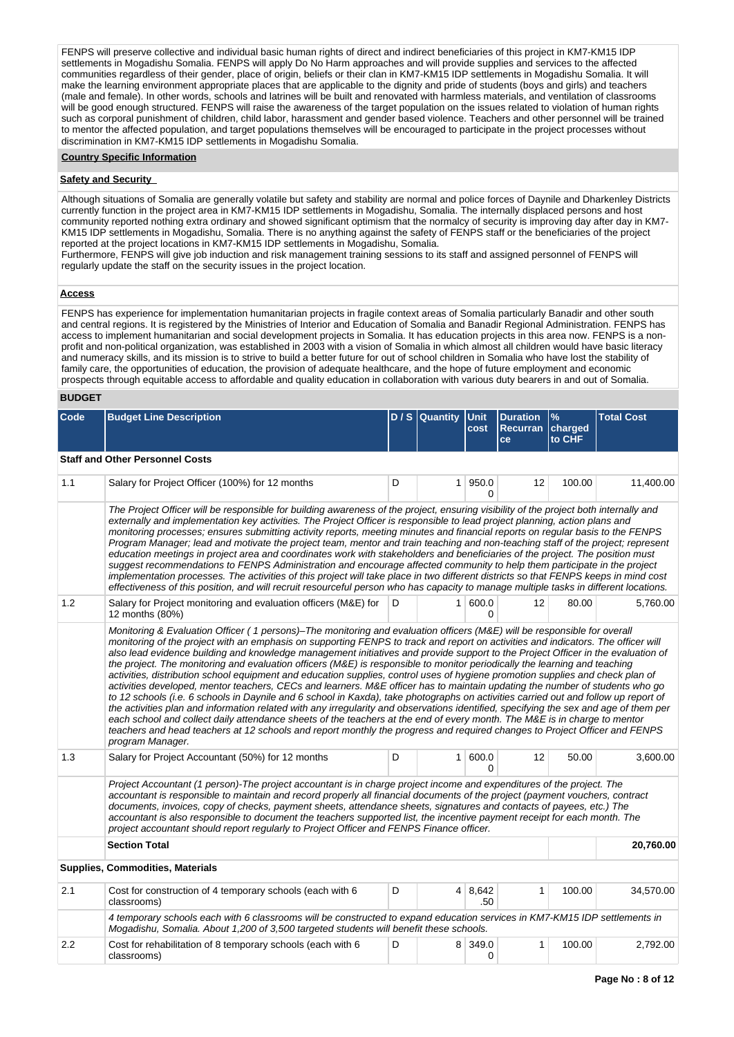FENPS will preserve collective and individual basic human rights of direct and indirect beneficiaries of this project in KM7-KM15 IDP settlements in Mogadishu Somalia. FENPS will apply Do No Harm approaches and will provide supplies and services to the affected communities regardless of their gender, place of origin, beliefs or their clan in KM7-KM15 IDP settlements in Mogadishu Somalia. It will make the learning environment appropriate places that are applicable to the dignity and pride of students (boys and girls) and teachers (male and female). In other words, schools and latrines will be built and renovated with harmless materials, and ventilation of classrooms will be good enough structured. FENPS will raise the awareness of the target population on the issues related to violation of human rights such as corporal punishment of children, child labor, harassment and gender based violence. Teachers and other personnel will be trained to mentor the affected population, and target populations themselves will be encouraged to participate in the project processes without discrimination in KM7-KM15 IDP settlements in Mogadishu Somalia.

#### **Country Specific Information**

#### **Safety and Security**

Although situations of Somalia are generally volatile but safety and stability are normal and police forces of Daynile and Dharkenley Districts currently function in the project area in KM7-KM15 IDP settlements in Mogadishu, Somalia. The internally displaced persons and host community reported nothing extra ordinary and showed significant optimism that the normalcy of security is improving day after day in KM7- KM15 IDP settlements in Mogadishu, Somalia. There is no anything against the safety of FENPS staff or the beneficiaries of the project reported at the project locations in KM7-KM15 IDP settlements in Mogadishu, Somalia.

Furthermore, FENPS will give job induction and risk management training sessions to its staff and assigned personnel of FENPS will regularly update the staff on the security issues in the project location.

#### **Access**

FENPS has experience for implementation humanitarian projects in fragile context areas of Somalia particularly Banadir and other south and central regions. It is registered by the Ministries of Interior and Education of Somalia and Banadir Regional Administration. FENPS has access to implement humanitarian and social development projects in Somalia. It has education projects in this area now. FENPS is a nonprofit and non-political organization, was established in 2003 with a vision of Somalia in which almost all children would have basic literacy and numeracy skills, and its mission is to strive to build a better future for out of school children in Somalia who have lost the stability of family care, the opportunities of education, the provision of adequate healthcare, and the hope of future employment and economic prospects through equitable access to affordable and quality education in collaboration with various duty bearers in and out of Somalia.

# **BUDGET**

| Code | <b>Budget Line Description</b>                                                                                                                                                                                                                                                                                                                                                                                                                                                                                                                                                                                                                                                                                                                                                                                                                                                                                                                                                                                                                                                                                                                                                                                                                                                                                                                                   |                                                                                                                                                                                                                      | D/S Quantity   | <b>Unit</b><br>cost | <b>Duration</b><br>Recurran charged<br>ce | $\%$<br>to CHF | <b>Total Cost</b> |  |
|------|------------------------------------------------------------------------------------------------------------------------------------------------------------------------------------------------------------------------------------------------------------------------------------------------------------------------------------------------------------------------------------------------------------------------------------------------------------------------------------------------------------------------------------------------------------------------------------------------------------------------------------------------------------------------------------------------------------------------------------------------------------------------------------------------------------------------------------------------------------------------------------------------------------------------------------------------------------------------------------------------------------------------------------------------------------------------------------------------------------------------------------------------------------------------------------------------------------------------------------------------------------------------------------------------------------------------------------------------------------------|----------------------------------------------------------------------------------------------------------------------------------------------------------------------------------------------------------------------|----------------|---------------------|-------------------------------------------|----------------|-------------------|--|
|      | <b>Staff and Other Personnel Costs</b>                                                                                                                                                                                                                                                                                                                                                                                                                                                                                                                                                                                                                                                                                                                                                                                                                                                                                                                                                                                                                                                                                                                                                                                                                                                                                                                           |                                                                                                                                                                                                                      |                |                     |                                           |                |                   |  |
| 1.1  | Salary for Project Officer (100%) for 12 months                                                                                                                                                                                                                                                                                                                                                                                                                                                                                                                                                                                                                                                                                                                                                                                                                                                                                                                                                                                                                                                                                                                                                                                                                                                                                                                  | D                                                                                                                                                                                                                    |                | 1 950.0<br>$\Omega$ | 12                                        | 100.00         | 11,400.00         |  |
|      | The Project Officer will be responsible for building awareness of the project, ensuring visibility of the project both internally and<br>externally and implementation key activities. The Project Officer is responsible to lead project planning, action plans and<br>monitoring processes; ensures submitting activity reports, meeting minutes and financial reports on regular basis to the FENPS<br>Program Manager; lead and motivate the project team, mentor and train teaching and non-teaching staff of the project; represent<br>education meetings in project area and coordinates work with stakeholders and beneficiaries of the project. The position must<br>suggest recommendations to FENPS Administration and encourage affected community to help them participate in the project<br>implementation processes. The activities of this project will take place in two different districts so that FENPS keeps in mind cost<br>effectiveness of this position, and will recruit resourceful person who has capacity to manage multiple tasks in different locations.                                                                                                                                                                                                                                                                          |                                                                                                                                                                                                                      |                |                     |                                           |                |                   |  |
| 1.2  | Salary for Project monitoring and evaluation officers (M&E) for<br>12 months (80%)                                                                                                                                                                                                                                                                                                                                                                                                                                                                                                                                                                                                                                                                                                                                                                                                                                                                                                                                                                                                                                                                                                                                                                                                                                                                               | D                                                                                                                                                                                                                    | 1 <sup>1</sup> | 600.0<br>$\Omega$   | 12                                        | 80.00          | 5,760.00          |  |
|      | Monitoring & Evaluation Officer (1 persons)–The monitoring and evaluation officers (M&E) will be responsible for overall<br>monitoring of the project with an emphasis on supporting FENPS to track and report on activities and indicators. The officer will<br>also lead evidence building and knowledge management initiatives and provide support to the Project Officer in the evaluation of<br>the project. The monitoring and evaluation officers (M&E) is responsible to monitor periodically the learning and teaching<br>activities, distribution school equipment and education supplies, control uses of hygiene promotion supplies and check plan of<br>activities developed, mentor teachers, CECs and learners. M&E officer has to maintain updating the number of students who go<br>to 12 schools (i.e. 6 schools in Daynile and 6 school in Kaxda), take photographs on activities carried out and follow up report of<br>the activities plan and information related with any irregularity and observations identified, specifying the sex and age of them per<br>each school and collect daily attendance sheets of the teachers at the end of every month. The M&E is in charge to mentor<br>teachers and head teachers at 12 schools and report monthly the progress and required changes to Project Officer and FENPS<br>program Manager. |                                                                                                                                                                                                                      |                |                     |                                           |                |                   |  |
| 1.3  | Salary for Project Accountant (50%) for 12 months                                                                                                                                                                                                                                                                                                                                                                                                                                                                                                                                                                                                                                                                                                                                                                                                                                                                                                                                                                                                                                                                                                                                                                                                                                                                                                                | D                                                                                                                                                                                                                    |                | 1 600.0<br>0        | $12 \overline{ }$                         | 50.00          | 3,600.00          |  |
|      | Project Accountant (1 person)-The project accountant is in charge project income and expenditures of the project. The<br>accountant is responsible to maintain and record properly all financial documents of the project (payment vouchers, contract<br>documents, invoices, copy of checks, payment sheets, attendance sheets, signatures and contacts of payees, etc.) The<br>accountant is also responsible to document the teachers supported list, the incentive payment receipt for each month. The<br>project accountant should report regularly to Project Officer and FENPS Finance officer.                                                                                                                                                                                                                                                                                                                                                                                                                                                                                                                                                                                                                                                                                                                                                           |                                                                                                                                                                                                                      |                |                     |                                           |                |                   |  |
|      | <b>Section Total</b>                                                                                                                                                                                                                                                                                                                                                                                                                                                                                                                                                                                                                                                                                                                                                                                                                                                                                                                                                                                                                                                                                                                                                                                                                                                                                                                                             |                                                                                                                                                                                                                      |                |                     |                                           |                | 20,760.00         |  |
|      | Supplies, Commodities, Materials                                                                                                                                                                                                                                                                                                                                                                                                                                                                                                                                                                                                                                                                                                                                                                                                                                                                                                                                                                                                                                                                                                                                                                                                                                                                                                                                 |                                                                                                                                                                                                                      |                |                     |                                           |                |                   |  |
| 2.1  | Cost for construction of 4 temporary schools (each with 6<br>classrooms)                                                                                                                                                                                                                                                                                                                                                                                                                                                                                                                                                                                                                                                                                                                                                                                                                                                                                                                                                                                                                                                                                                                                                                                                                                                                                         | D                                                                                                                                                                                                                    |                | 4   8,642<br>.50    | $\mathbf{1}$                              | 100.00         | 34,570.00         |  |
|      |                                                                                                                                                                                                                                                                                                                                                                                                                                                                                                                                                                                                                                                                                                                                                                                                                                                                                                                                                                                                                                                                                                                                                                                                                                                                                                                                                                  | 4 temporary schools each with 6 classrooms will be constructed to expand education services in KM7-KM15 IDP settlements in<br>Mogadishu, Somalia. About 1,200 of 3,500 targeted students will benefit these schools. |                |                     |                                           |                |                   |  |
| 2.2  | Cost for rehabilitation of 8 temporary schools (each with 6<br>classrooms)                                                                                                                                                                                                                                                                                                                                                                                                                                                                                                                                                                                                                                                                                                                                                                                                                                                                                                                                                                                                                                                                                                                                                                                                                                                                                       | D                                                                                                                                                                                                                    |                | 8 349.0<br>$\Omega$ | 1                                         | 100.00         | 2,792.00          |  |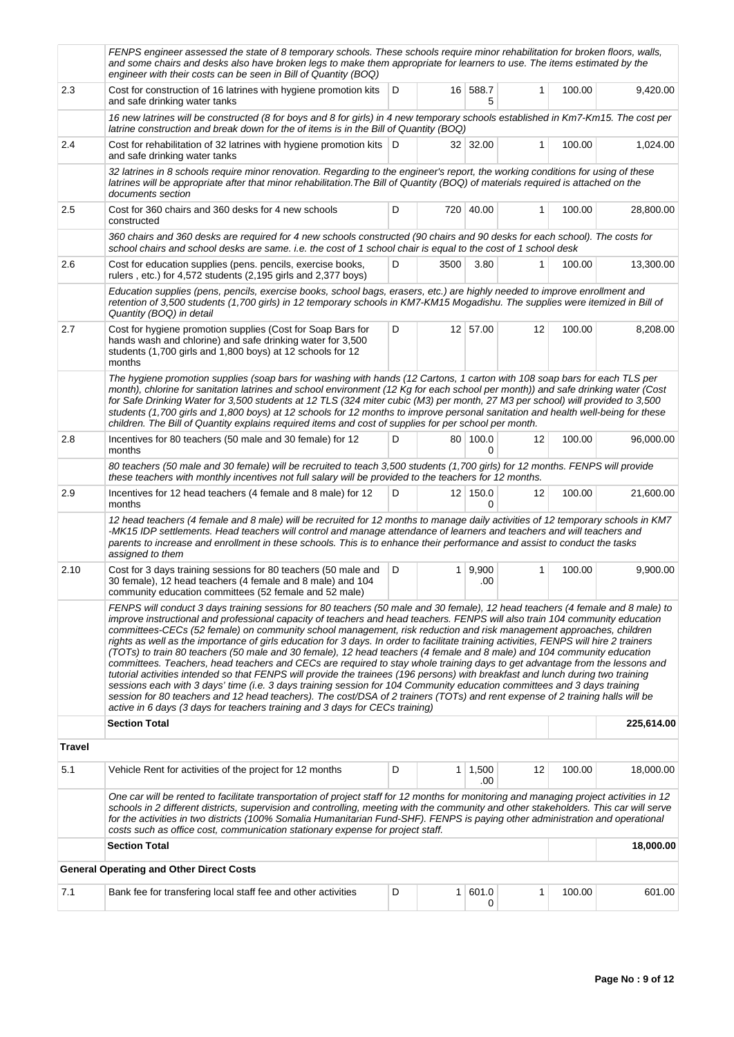|        | FENPS engineer assessed the state of 8 temporary schools. These schools require minor rehabilitation for broken floors, walls,<br>and some chairs and desks also have broken legs to make them appropriate for learners to use. The items estimated by the<br>engineer with their costs can be seen in Bill of Quantity (BOQ)                                                                                                                                                                                                                                                                                                                                                                                                                                                                                                                                                                                                                                                                                                                                                                                                                                                                                                                                             |   |                |                       |              |        |            |
|--------|---------------------------------------------------------------------------------------------------------------------------------------------------------------------------------------------------------------------------------------------------------------------------------------------------------------------------------------------------------------------------------------------------------------------------------------------------------------------------------------------------------------------------------------------------------------------------------------------------------------------------------------------------------------------------------------------------------------------------------------------------------------------------------------------------------------------------------------------------------------------------------------------------------------------------------------------------------------------------------------------------------------------------------------------------------------------------------------------------------------------------------------------------------------------------------------------------------------------------------------------------------------------------|---|----------------|-----------------------|--------------|--------|------------|
| 2.3    | Cost for construction of 16 latrines with hygiene promotion kits<br>and safe drinking water tanks                                                                                                                                                                                                                                                                                                                                                                                                                                                                                                                                                                                                                                                                                                                                                                                                                                                                                                                                                                                                                                                                                                                                                                         | D |                | 16 588.7<br>5         | 1            | 100.00 | 9,420.00   |
|        | 16 new latrines will be constructed (8 for boys and 8 for girls) in 4 new temporary schools established in Km7-Km15. The cost per<br>latrine construction and break down for the of items is in the Bill of Quantity (BOQ)                                                                                                                                                                                                                                                                                                                                                                                                                                                                                                                                                                                                                                                                                                                                                                                                                                                                                                                                                                                                                                                |   |                |                       |              |        |            |
| 2.4    | Cost for rehabilitation of 32 latrines with hygiene promotion kits   D<br>and safe drinking water tanks                                                                                                                                                                                                                                                                                                                                                                                                                                                                                                                                                                                                                                                                                                                                                                                                                                                                                                                                                                                                                                                                                                                                                                   |   |                | 32 32.00              | $\mathbf{1}$ | 100.00 | 1,024.00   |
|        | 32 latrines in 8 schools require minor renovation. Regarding to the engineer's report, the working conditions for using of these<br>latrines will be appropriate after that minor rehabilitation. The Bill of Quantity (BOQ) of materials required is attached on the<br>documents section                                                                                                                                                                                                                                                                                                                                                                                                                                                                                                                                                                                                                                                                                                                                                                                                                                                                                                                                                                                |   |                |                       |              |        |            |
| 2.5    | Cost for 360 chairs and 360 desks for 4 new schools<br>constructed                                                                                                                                                                                                                                                                                                                                                                                                                                                                                                                                                                                                                                                                                                                                                                                                                                                                                                                                                                                                                                                                                                                                                                                                        | D |                | 720 40.00             | $\mathbf{1}$ | 100.00 | 28,800.00  |
|        | 360 chairs and 360 desks are required for 4 new schools constructed (90 chairs and 90 desks for each school). The costs for<br>school chairs and school desks are same. i.e. the cost of 1 school chair is equal to the cost of 1 school desk                                                                                                                                                                                                                                                                                                                                                                                                                                                                                                                                                                                                                                                                                                                                                                                                                                                                                                                                                                                                                             |   |                |                       |              |        |            |
| 2.6    | D<br>3500<br>Cost for education supplies (pens. pencils, exercise books,<br>3.80<br>1<br>rulers, etc.) for 4,572 students (2,195 girls and 2,377 boys)                                                                                                                                                                                                                                                                                                                                                                                                                                                                                                                                                                                                                                                                                                                                                                                                                                                                                                                                                                                                                                                                                                                    |   |                |                       |              |        | 13,300.00  |
|        | Education supplies (pens, pencils, exercise books, school bags, erasers, etc.) are highly needed to improve enrollment and<br>retention of 3,500 students (1,700 girls) in 12 temporary schools in KM7-KM15 Mogadishu. The supplies were itemized in Bill of<br>Quantity (BOQ) in detail                                                                                                                                                                                                                                                                                                                                                                                                                                                                                                                                                                                                                                                                                                                                                                                                                                                                                                                                                                                  |   |                |                       |              |        |            |
| 2.7    | Cost for hygiene promotion supplies (Cost for Soap Bars for<br>hands wash and chlorine) and safe drinking water for 3,500<br>students (1,700 girls and 1,800 boys) at 12 schools for 12<br>months                                                                                                                                                                                                                                                                                                                                                                                                                                                                                                                                                                                                                                                                                                                                                                                                                                                                                                                                                                                                                                                                         | D |                | 12 57.00              | 12           | 100.00 | 8,208.00   |
|        | The hygiene promotion supplies (soap bars for washing with hands (12 Cartons, 1 carton with 108 soap bars for each TLS per<br>month), chlorine for sanitation latrines and school environment (12 Kg for each school per month)) and safe drinking water (Cost<br>for Safe Drinking Water for 3,500 students at 12 TLS (324 miter cubic (M3) per month, 27 M3 per school) will provided to 3,500<br>students (1,700 girls and 1,800 boys) at 12 schools for 12 months to improve personal sanitation and health well-being for these<br>children. The Bill of Quantity explains required items and cost of supplies for per school per month.                                                                                                                                                                                                                                                                                                                                                                                                                                                                                                                                                                                                                             |   |                |                       |              |        |            |
| 2.8    | Incentives for 80 teachers (50 male and 30 female) for 12<br>months                                                                                                                                                                                                                                                                                                                                                                                                                                                                                                                                                                                                                                                                                                                                                                                                                                                                                                                                                                                                                                                                                                                                                                                                       | D |                | 80 100.0<br>0         | 12           | 100.00 | 96,000.00  |
|        | 80 teachers (50 male and 30 female) will be recruited to teach 3,500 students (1,700 girls) for 12 months. FENPS will provide<br>these teachers with monthly incentives not full salary will be provided to the teachers for 12 months.                                                                                                                                                                                                                                                                                                                                                                                                                                                                                                                                                                                                                                                                                                                                                                                                                                                                                                                                                                                                                                   |   |                |                       |              |        |            |
| 2.9    | Incentives for 12 head teachers (4 female and 8 male) for 12<br>months                                                                                                                                                                                                                                                                                                                                                                                                                                                                                                                                                                                                                                                                                                                                                                                                                                                                                                                                                                                                                                                                                                                                                                                                    | D |                | 12 150.0<br>0         | 12           | 100.00 | 21,600.00  |
|        | 12 head teachers (4 female and 8 male) will be recruited for 12 months to manage daily activities of 12 temporary schools in KM7<br>-MK15 IDP settlements. Head teachers will control and manage attendance of learners and teachers and will teachers and<br>parents to increase and enrollment in these schools. This is to enhance their performance and assist to conduct the tasks<br>assigned to them                                                                                                                                                                                                                                                                                                                                                                                                                                                                                                                                                                                                                                                                                                                                                                                                                                                               |   |                |                       |              |        |            |
| 2.10   | Cost for 3 days training sessions for 80 teachers (50 male and<br>30 female), 12 head teachers (4 female and 8 male) and 104<br>community education committees (52 female and 52 male)                                                                                                                                                                                                                                                                                                                                                                                                                                                                                                                                                                                                                                                                                                                                                                                                                                                                                                                                                                                                                                                                                    | D | 1 <sup>1</sup> | 9,900<br>.00          | 1            | 100.00 | 9,900.00   |
|        | FENPS will conduct 3 days training sessions for 80 teachers (50 male and 30 female), 12 head teachers (4 female and 8 male) to<br>improve instructional and professional capacity of teachers and head teachers. FENPS will also train 104 community education<br>committees-CECs (52 female) on community school management, risk reduction and risk management approaches, children<br>rights as well as the importance of girls education for 3 days. In order to facilitate training activities, FENPS will hire 2 trainers<br>(TOTs) to train 80 teachers (50 male and 30 female), 12 head teachers (4 female and 8 male) and 104 community education<br>committees. Teachers, head teachers and CECs are required to stay whole training days to get advantage from the lessons and<br>tutorial activities intended so that FENPS will provide the trainees (196 persons) with breakfast and lunch during two training<br>sessions each with 3 days' time (i.e. 3 days training session for 104 Community education committees and 3 days training<br>session for 80 teachers and 12 head teachers). The cost/DSA of 2 trainers (TOTs) and rent expense of 2 training halls will be<br>active in 6 days (3 days for teachers training and 3 days for CECs training) |   |                |                       |              |        |            |
|        | <b>Section Total</b>                                                                                                                                                                                                                                                                                                                                                                                                                                                                                                                                                                                                                                                                                                                                                                                                                                                                                                                                                                                                                                                                                                                                                                                                                                                      |   |                |                       |              |        | 225,614.00 |
| Travel |                                                                                                                                                                                                                                                                                                                                                                                                                                                                                                                                                                                                                                                                                                                                                                                                                                                                                                                                                                                                                                                                                                                                                                                                                                                                           |   |                |                       |              |        |            |
| 5.1    | Vehicle Rent for activities of the project for 12 months                                                                                                                                                                                                                                                                                                                                                                                                                                                                                                                                                                                                                                                                                                                                                                                                                                                                                                                                                                                                                                                                                                                                                                                                                  | D |                | $1 \mid 1,500$<br>.00 | 12           | 100.00 | 18,000.00  |
|        | One car will be rented to facilitate transportation of project staff for 12 months for monitoring and managing project activities in 12<br>schools in 2 different districts, supervision and controlling, meeting with the community and other stakeholders. This car will serve<br>for the activities in two districts (100% Somalia Humanitarian Fund-SHF). FENPS is paying other administration and operational<br>costs such as office cost, communication stationary expense for project staff.                                                                                                                                                                                                                                                                                                                                                                                                                                                                                                                                                                                                                                                                                                                                                                      |   |                |                       |              |        |            |
|        | <b>Section Total</b>                                                                                                                                                                                                                                                                                                                                                                                                                                                                                                                                                                                                                                                                                                                                                                                                                                                                                                                                                                                                                                                                                                                                                                                                                                                      |   |                |                       |              |        | 18,000.00  |
|        | General Operating and Other Direct Costs                                                                                                                                                                                                                                                                                                                                                                                                                                                                                                                                                                                                                                                                                                                                                                                                                                                                                                                                                                                                                                                                                                                                                                                                                                  |   |                |                       |              |        |            |
| 7.1    | Bank fee for transfering local staff fee and other activities                                                                                                                                                                                                                                                                                                                                                                                                                                                                                                                                                                                                                                                                                                                                                                                                                                                                                                                                                                                                                                                                                                                                                                                                             | D | 1 <sup>1</sup> | 601.0<br>0            | 1            | 100.00 | 601.00     |